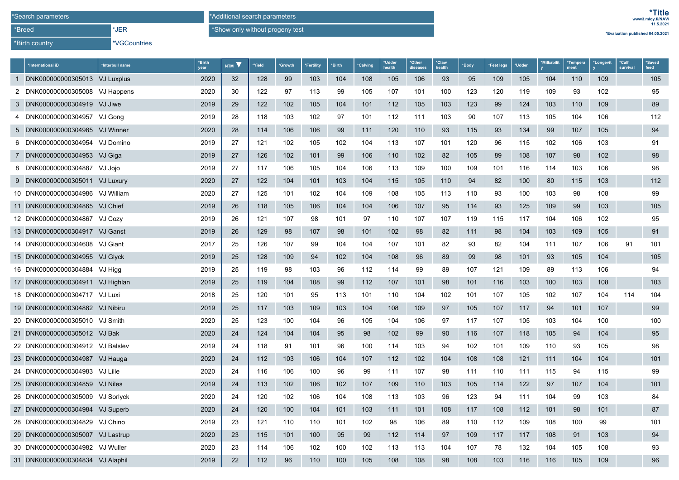\*Birth country

\*JER

\*Additional search parameters\*Show only without progeny test

\*VGCountries

|  | *Evaluation published 04.05.2021 |
|--|----------------------------------|
|--|----------------------------------|

| *International iD                | *Interbull name | *Birth<br>year | NTM V | *Yield | *Growth | *Fertility | *Birth | *Calving | *Udder<br>health | *Other<br>diseases | *Claw<br>health | *Body | Feet legs <sup>*</sup> | *Udder | *Milkabilit | *Tempera<br>ment | *Longevit | *Calf<br>survival | *Saved<br>feed |
|----------------------------------|-----------------|----------------|-------|--------|---------|------------|--------|----------|------------------|--------------------|-----------------|-------|------------------------|--------|-------------|------------------|-----------|-------------------|----------------|
| 1 DNK000000000305013 VJ Luxplus  |                 | 2020           | 32    | 128    | 99      | 103        | 104    | 108      | 105              | 106                | 93              | 95    | 109                    | 105    | 104         | 110              | 109       |                   | 105            |
| 2 DNK000000000305008 VJ Happens  |                 | 2020           | 30    | 122    | 97      | 113        | 99     | 105      | 107              | 101                | 100             | 123   | 120                    | 119    | 109         | 93               | 102       |                   | 95             |
| 3 DNK000000000304919 VJ Jiwe     |                 | 2019           | 29    | 122    | 102     | 105        | 104    | 101      | 112              | 105                | 103             | 123   | 99                     | 124    | 103         | 110              | 109       |                   | 89             |
| 4 DNK000000000304957 VJ Gong     |                 | 2019           | 28    | 118    | 103     | 102        | 97     | 101      | 112              | 111                | 103             | 90    | 107                    | 113    | 105         | 104              | 106       |                   | 112            |
| 5 DNK000000000304985 VJ Winner   |                 | 2020           | 28    | 114    | 106     | 106        | 99     | 111      | 120              | 110                | 93              | 115   | 93                     | 134    | 99          | 107              | 105       |                   | 94             |
| 6 DNK000000000304954 VJ Domino   |                 | 2019           | 27    | 121    | 102     | 105        | 102    | 104      | 113              | 107                | 101             | 120   | 96                     | 115    | 102         | 106              | 103       |                   | 91             |
| 7 DNK000000000304953 VJ Giga     |                 | 2019           | 27    | 126    | 102     | 101        | 99     | 106      | 110              | 102                | 82              | 105   | 89                     | 108    | 107         | 98               | 102       |                   | 98             |
| 8 DNK000000000304887 VJ Jojo     |                 | 2019           | 27    | 117    | 106     | 105        | 104    | 106      | 113              | 109                | 100             | 109   | 101                    | 116    | 114         | 103              | 106       |                   | 98             |
| 9 DNK000000000305011 VJ Luxury   |                 | 2020           | 27    | 122    | 104     | 101        | 103    | 104      | 115              | 105                | 110             | 94    | 82                     | 100    | 80          | 115              | 103       |                   | 112            |
| 10 DNK000000000304986 VJ William |                 | 2020           | 27    | 125    | 101     | 102        | 104    | 109      | 108              | 105                | 113             | 110   | 93                     | 100    | 103         | 98               | 108       |                   | 99             |
| 11 DNK000000000304865 VJ Chief   |                 | 2019           | 26    | 118    | 105     | 106        | 104    | 104      | 106              | 107                | 95              | 114   | 93                     | 125    | 109         | 99               | 103       |                   | 105            |
| 12 DNK000000000304867 VJ Cozy    |                 | 2019           | 26    | 121    | 107     | 98         | 101    | 97       | 110              | 107                | 107             | 119   | 115                    | 117    | 104         | 106              | 102       |                   | 95             |
| 13 DNK000000000304917 VJ Ganst   |                 | 2019           | 26    | 129    | 98      | 107        | 98     | 101      | 102              | 98                 | 82              | 111   | 98                     | 104    | 103         | 109              | 105       |                   | 91             |
| 14 DNK000000000304608 VJ Giant   |                 | 2017           | 25    | 126    | 107     | 99         | 104    | 104      | 107              | 101                | 82              | 93    | 82                     | 104    | 111         | 107              | 106       | 91                | 101            |
| 15 DNK000000000304955 VJ Glyck   |                 | 2019           | 25    | 128    | 109     | 94         | 102    | 104      | 108              | 96                 | 89              | 99    | 98                     | 101    | 93          | 105              | 104       |                   | 105            |
| 16 DNK000000000304884 VJ Higg    |                 | 2019           | 25    | 119    | 98      | 103        | 96     | 112      | 114              | 99                 | 89              | 107   | 121                    | 109    | 89          | 113              | 106       |                   | 94             |
| 17 DNK000000000304911 VJ Highlan |                 | 2019           | 25    | 119    | 104     | 108        | 99     | 112      | 107              | 101                | 98              | 101   | 116                    | 103    | 100         | 103              | 108       |                   | 103            |
| 18 DNK000000000304717 VJ Luxi    |                 | 2018           | 25    | 120    | 101     | 95         | 113    | 101      | 110              | 104                | 102             | 101   | 107                    | 105    | 102         | 107              | 104       | 114               | 104            |
| 19 DNK000000000304882 VJ Nibiru  |                 | 2019           | 25    | 117    | 103     | 109        | 103    | 104      | 108              | 109                | 97              | 105   | 107                    | 117    | 94          | 101              | 107       |                   | 99             |
| 20 DNK000000000305010 VJ Smith   |                 | 2020           | 25    | 123    | 100     | 104        | 96     | 105      | 104              | 106                | 97              | 117   | 107                    | 105    | 103         | 104              | 100       |                   | 100            |
| 21 DNK000000000305012 VJ Bak     |                 | 2020           | 24    | 124    | 104     | 104        | 95     | 98       | 102              | 99                 | 90              | 116   | 107                    | 118    | 105         | 94               | 104       |                   | 95             |
| 22 DNK000000000304912 VJ Balslev |                 | 2019           | 24    | 118    | 91      | 101        | 96     | 100      | 114              | 103                | 94              | 102   | 101                    | 109    | 110         | 93               | 105       |                   | 98             |
| 23 DNK000000000304987 VJ Hauga   |                 | 2020           | 24    | 112    | 103     | 106        | 104    | 107      | 112              | 102                | 104             | 108   | 108                    | 121    | 111         | 104              | 104       |                   | 101            |
| 24 DNK000000000304983 VJ Lille   |                 | 2020           | 24    | 116    | 106     | 100        | 96     | 99       | 111              | 107                | 98              | 111   | 110                    | 111    | 115         | 94               | 115       |                   | 99             |
| 25 DNK000000000304859            | VJ Niles        | 2019           | 24    | 113    | 102     | 106        | 102    | 107      | 109              | 110                | 103             | 105   | 114                    | 122    | 97          | 107              | 104       |                   | 101            |
| 26 DNK000000000305009 VJ Sorlyck |                 | 2020           | 24    | 120    | 102     | 106        | 104    | 108      | 113              | 103                | 96              | 123   | 94                     | 111    | 104         | 99               | 103       |                   | 84             |
| 27 DNK000000000304984 VJ Superb  |                 | 2020           | 24    | 120    | 100     | 104        | 101    | 103      | 111              | 101                | 108             | 117   | 108                    | 112    | 101         | 98               | 101       |                   | 87             |
| 28 DNK000000000304829 VJ Chino   |                 | 2019           | 23    | 121    | 110     | 110        | 101    | 102      | 98               | 106                | 89              | 110   | 112                    | 109    | 108         | 100              | 99        |                   | 101            |
| 29 DNK000000000305007 VJ Lastrup |                 | 2020           | 23    | 115    | 101     | 100        | 95     | 99       | 112              | 114                | 97              | 109   | 117                    | 117    | 108         | 91               | 103       |                   | 94             |
| 30 DNK000000000304982 VJ Wuller  |                 | 2020           | 23    | 114    | 106     | 102        | 100    | 102      | 113              | 113                | 104             | 107   | 78                     | 132    | 104         | 105              | 108       |                   | 93             |
| 31 DNK000000000304834 VJ Alaphil |                 | 2019           | 22    | 112    | 96      | 110        | 100    | 105      | 108              | 108                | 98              | 108   | 103                    | 116    | 116         | 105              | 109       |                   | 96             |